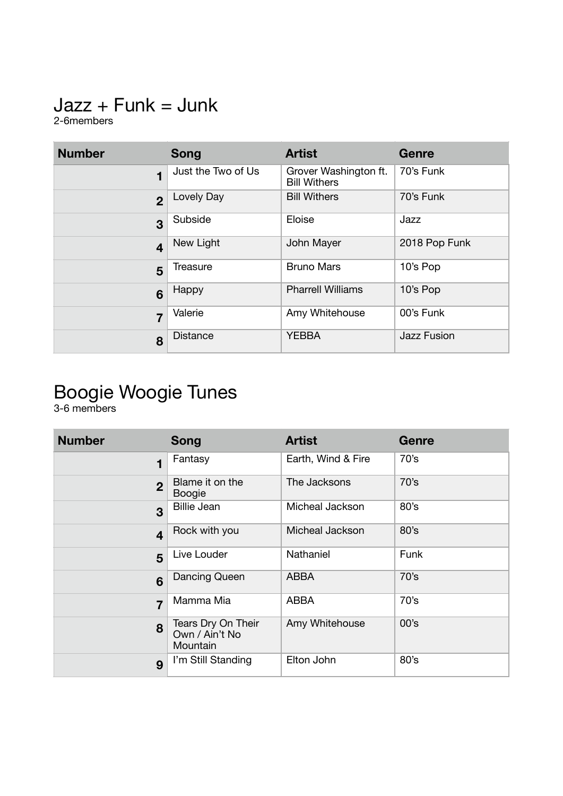# $Jazz + Funk = Junk$

2-6members

| <b>Number</b>           | <b>Song</b>        | <b>Artist</b>                                | Genre              |
|-------------------------|--------------------|----------------------------------------------|--------------------|
| 1                       | Just the Two of Us | Grover Washington ft.<br><b>Bill Withers</b> | 70's Funk          |
| $\overline{2}$          | Lovely Day         | <b>Bill Withers</b>                          | 70's Funk          |
| 3                       | Subside            | Eloise                                       | Jazz               |
| $\overline{\mathbf{4}}$ | New Light          | John Mayer                                   | 2018 Pop Funk      |
| 5                       | Treasure           | <b>Bruno Mars</b>                            | 10's Pop           |
| 6                       | Happy              | <b>Pharrell Williams</b>                     | 10's Pop           |
| $\overline{7}$          | Valerie            | Amy Whitehouse                               | 00's Funk          |
| 8                       | <b>Distance</b>    | <b>YEBBA</b>                                 | <b>Jazz Fusion</b> |

#### Boogie Woogie Tunes

3-6 members

| <b>Number</b>           | <b>Song</b>                                      | <b>Artist</b>      | Genre |
|-------------------------|--------------------------------------------------|--------------------|-------|
| 1                       | Fantasy                                          | Earth, Wind & Fire | 70's  |
| $\overline{2}$          | Blame it on the<br><b>Boogie</b>                 | The Jacksons       | 70's  |
| 3                       | <b>Billie Jean</b>                               | Micheal Jackson    | 80's  |
| $\overline{\mathbf{4}}$ | Rock with you                                    | Micheal Jackson    | 80's  |
| 5                       | Live Louder                                      | Nathaniel          | Funk  |
| 6                       | Dancing Queen                                    | <b>ABBA</b>        | 70's  |
| $\overline{7}$          | Mamma Mia                                        | <b>ABBA</b>        | 70's  |
| 8                       | Tears Dry On Their<br>Own / Ain't No<br>Mountain | Amy Whitehouse     | 00's  |
| 9                       | I'm Still Standing                               | Elton John         | 80's  |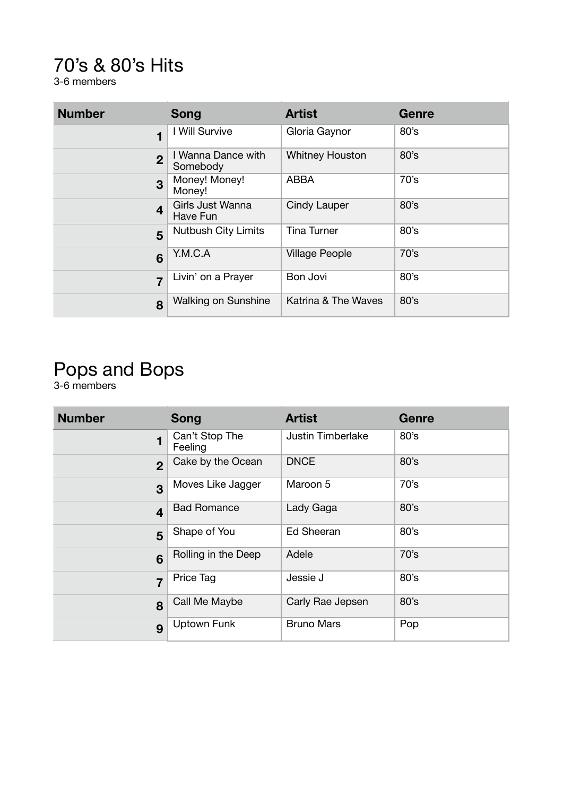#### 70's & 80's Hits

3-6 members

| <b>Number</b>           | Song                           | <b>Artist</b>          | <b>Genre</b> |
|-------------------------|--------------------------------|------------------------|--------------|
| 1                       | I Will Survive                 | Gloria Gaynor          | 80's         |
| $\overline{2}$          | I Wanna Dance with<br>Somebody | <b>Whitney Houston</b> | 80's         |
| 3                       | Money! Money!<br>Money!        | <b>ABBA</b>            | 70's         |
| $\overline{\mathbf{4}}$ | Girls Just Wanna<br>Have Fun   | Cindy Lauper           | 80's         |
| 5                       | <b>Nutbush City Limits</b>     | <b>Tina Turner</b>     | 80's         |
| 6                       | Y.M.C.A                        | <b>Village People</b>  | 70's         |
| $\overline{7}$          | Livin' on a Prayer             | Bon Jovi               | 80's         |
| 8                       | <b>Walking on Sunshine</b>     | Katrina & The Waves    | 80's         |

### Pops and Bops

3-6 members

| <b>Number</b>           | <b>Song</b>               | <b>Artist</b>            | <b>Genre</b> |
|-------------------------|---------------------------|--------------------------|--------------|
| 1                       | Can't Stop The<br>Feeling | <b>Justin Timberlake</b> | 80's         |
| $\overline{2}$          | Cake by the Ocean         | <b>DNCE</b>              | 80's         |
| 3                       | Moves Like Jagger         | Maroon 5                 | 70's         |
| $\overline{\mathbf{4}}$ | <b>Bad Romance</b>        | Lady Gaga                | 80's         |
| 5                       | Shape of You              | <b>Ed Sheeran</b>        | 80's         |
| 6                       | Rolling in the Deep       | Adele                    | 70's         |
| $\overline{7}$          | Price Tag                 | Jessie J                 | 80's         |
| 8                       | Call Me Maybe             | Carly Rae Jepsen         | 80's         |
| 9                       | <b>Uptown Funk</b>        | <b>Bruno Mars</b>        | Pop          |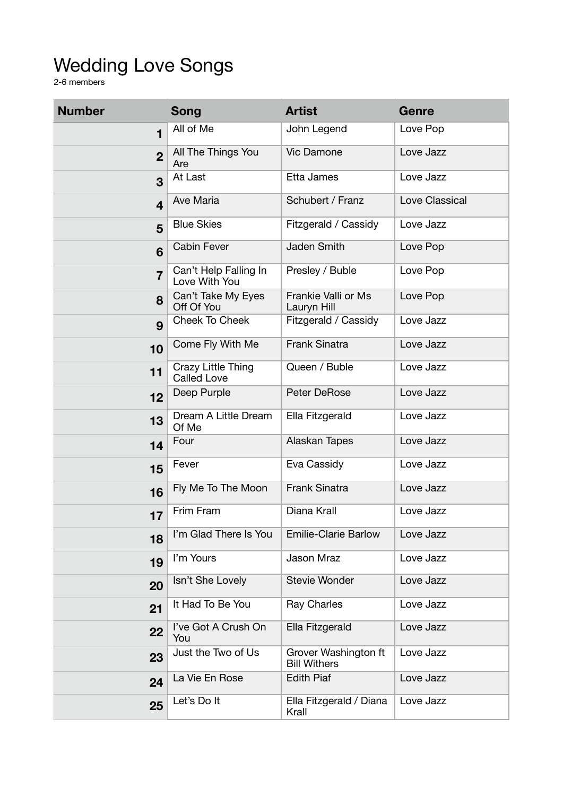### Wedding Love Songs

2-6 members

| <b>Number</b>           | <b>Song</b>                              | <b>Artist</b>                               | Genre          |
|-------------------------|------------------------------------------|---------------------------------------------|----------------|
| $\overline{\mathbf{1}}$ | All of Me                                | John Legend                                 | Love Pop       |
| 2 <sup>1</sup>          | All The Things You<br>Are                | Vic Damone                                  | Love Jazz      |
| 3                       | At Last                                  | Etta James                                  | Love Jazz      |
| $\overline{\mathbf{4}}$ | Ave Maria                                | Schubert / Franz                            | Love Classical |
| 5                       | <b>Blue Skies</b>                        | Fitzgerald / Cassidy                        | Love Jazz      |
| 6                       | <b>Cabin Fever</b>                       | <b>Jaden Smith</b>                          | Love Pop       |
| $\overline{7}$          | Can't Help Falling In<br>Love With You   | Presley / Buble                             | Love Pop       |
| 8                       | Can't Take My Eyes<br>Off Of You         | Frankie Valli or Ms<br>Lauryn Hill          | Love Pop       |
| 9                       | <b>Cheek To Cheek</b>                    | Fitzgerald / Cassidy                        | Love Jazz      |
| 10                      | Come Fly With Me                         | <b>Frank Sinatra</b>                        | Love Jazz      |
| 11                      | Crazy Little Thing<br><b>Called Love</b> | Queen / Buble                               | Love Jazz      |
| 12                      | Deep Purple                              | <b>Peter DeRose</b>                         | Love Jazz      |
| 13                      | Dream A Little Dream<br>Of Me            | Ella Fitzgerald                             | Love Jazz      |
| 14                      | Four                                     | Alaskan Tapes                               | Love Jazz      |
| 15                      | Fever                                    | Eva Cassidy                                 | Love Jazz      |
| 16                      | Fly Me To The Moon                       | <b>Frank Sinatra</b>                        | Love Jazz      |
| 17                      | Frim Fram                                | Diana Krall                                 | Love Jazz      |
| 18                      | I'm Glad There Is You                    | <b>Emilie-Clarie Barlow</b>                 | Love Jazz      |
| 19                      | I'm Yours                                | Jason Mraz                                  | Love Jazz      |
| 20                      | Isn't She Lovely                         | <b>Stevie Wonder</b>                        | Love Jazz      |
| 21                      | It Had To Be You                         | <b>Ray Charles</b>                          | Love Jazz      |
| 22                      | I've Got A Crush On<br>You               | Ella Fitzgerald                             | Love Jazz      |
| 23                      | Just the Two of Us                       | Grover Washington ft<br><b>Bill Withers</b> | Love Jazz      |
| 24                      | La Vie En Rose                           | <b>Edith Piaf</b>                           | Love Jazz      |
| 25                      | Let's Do It                              | Ella Fitzgerald / Diana<br>Krall            | Love Jazz      |